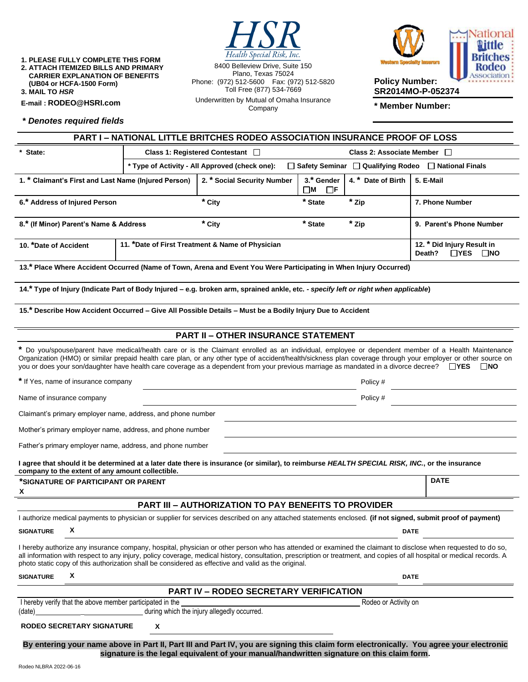**1. PLEASE FULLY COMPLETE THIS FORM 2. ATTACH ITEMIZED BILLS AND PRIMARY CARRIER EXPLANATION OF BENEFITS (UB04 or HCFA-1500 Form)**

**3. MAIL TO** *HSR*

**E-mail : [RODEO@HSRI.com](mailto:RODEO@HSRI.com)**

**\*** *Denotes required fields*

Health Special Risk, Inc.

8400 Belleview Drive, Suite 150 Plano, Texas 75024 Phone: (972) 512-5600 Fax: (972) 512-5820 Toll Free (877) 534-7669 Underwritten by Mutual of Omaha Insurance Company



**SR2014MO-P-052374**

**\* Member Number:**

| <b>PART I - NATIONAL LITTLE BRITCHES RODEO ASSOCIATION INSURANCE PROOF OF LOSS</b>                                                                                                                                                                                                                                                                                                                                                                                   |                                                                                                                        |          |           |       |                                                                    |
|----------------------------------------------------------------------------------------------------------------------------------------------------------------------------------------------------------------------------------------------------------------------------------------------------------------------------------------------------------------------------------------------------------------------------------------------------------------------|------------------------------------------------------------------------------------------------------------------------|----------|-----------|-------|--------------------------------------------------------------------|
| * State:                                                                                                                                                                                                                                                                                                                                                                                                                                                             | Class 1: Registered Contestant  <br>Class 2: Associate Member □                                                        |          |           |       |                                                                    |
|                                                                                                                                                                                                                                                                                                                                                                                                                                                                      | * Type of Activity - All Approved (check one):<br>$\Box$ Safety Seminar $\Box$ Qualifying Rodeo $\Box$ National Finals |          |           |       |                                                                    |
| 4. * Date of Birth<br>1. * Claimant's First and Last Name (Injured Person)<br>2. * Social Security Number<br>3.* Gender<br>$\square$ M<br>$\Box$ F                                                                                                                                                                                                                                                                                                                   |                                                                                                                        |          |           |       | 5. E-Mail                                                          |
| 6.* Address of Injured Person                                                                                                                                                                                                                                                                                                                                                                                                                                        |                                                                                                                        | * City   | * State   | * Zip | 7. Phone Number                                                    |
| 8.* (If Minor) Parent's Name & Address                                                                                                                                                                                                                                                                                                                                                                                                                               |                                                                                                                        | $*$ City | $*$ State | * Zip | 9. Parent's Phone Number                                           |
| 11. *Date of First Treatment & Name of Physician<br>10. *Date of Accident                                                                                                                                                                                                                                                                                                                                                                                            |                                                                                                                        |          |           |       | 12. * Did Injury Result in<br>Death?<br>$\Box$ YES<br>$\square$ NO |
| 13.* Place Where Accident Occurred (Name of Town, Arena and Event You Were Participating in When Injury Occurred)                                                                                                                                                                                                                                                                                                                                                    |                                                                                                                        |          |           |       |                                                                    |
| 14.* Type of Injury (Indicate Part of Body Injured – e.g. broken arm, sprained ankle, etc. - specify left or right when applicable)                                                                                                                                                                                                                                                                                                                                  |                                                                                                                        |          |           |       |                                                                    |
| 15.* Describe How Accident Occurred - Give All Possible Details - Must be a Bodily Injury Due to Accident                                                                                                                                                                                                                                                                                                                                                            |                                                                                                                        |          |           |       |                                                                    |
| <b>PART II - OTHER INSURANCE STATEMENT</b>                                                                                                                                                                                                                                                                                                                                                                                                                           |                                                                                                                        |          |           |       |                                                                    |
| * Do you/spouse/parent have medical/health care or is the Claimant enrolled as an individual, employee or dependent member of a Health Maintenance<br>Organization (HMO) or similar prepaid health care plan, or any other type of accident/health/sickness plan coverage through your employer or other source on<br>you or does your son/daughter have health care coverage as a dependent from your previous marriage as mandated in a divorce decree? □ YES □ NO |                                                                                                                        |          |           |       |                                                                    |
| * If Yes, name of insurance company<br>Policy #                                                                                                                                                                                                                                                                                                                                                                                                                      |                                                                                                                        |          |           |       |                                                                    |
| Name of insurance company<br>Policy #                                                                                                                                                                                                                                                                                                                                                                                                                                |                                                                                                                        |          |           |       |                                                                    |
| Claimant's primary employer name, address, and phone number                                                                                                                                                                                                                                                                                                                                                                                                          |                                                                                                                        |          |           |       |                                                                    |
| Mother's primary employer name, address, and phone number                                                                                                                                                                                                                                                                                                                                                                                                            |                                                                                                                        |          |           |       |                                                                    |
| Father's primary employer name, address, and phone number                                                                                                                                                                                                                                                                                                                                                                                                            |                                                                                                                        |          |           |       |                                                                    |
| I agree that should it be determined at a later date there is insurance (or similar), to reimburse HEALTH SPECIAL RISK, INC., or the insurance<br>company to the extent of any amount collectible.                                                                                                                                                                                                                                                                   |                                                                                                                        |          |           |       |                                                                    |
| *SIGNATURE OF PARTICIPANT OR PARENT<br>x                                                                                                                                                                                                                                                                                                                                                                                                                             |                                                                                                                        |          |           |       | <b>DATE</b>                                                        |
| <b>PART III - AUTHORIZATION TO PAY BENEFITS TO PROVIDER</b>                                                                                                                                                                                                                                                                                                                                                                                                          |                                                                                                                        |          |           |       |                                                                    |
| I authorize medical payments to physician or supplier for services described on any attached statements enclosed. (if not signed, submit proof of payment)                                                                                                                                                                                                                                                                                                           |                                                                                                                        |          |           |       |                                                                    |
| X<br><b>SIGNATURE</b><br><b>DATE</b>                                                                                                                                                                                                                                                                                                                                                                                                                                 |                                                                                                                        |          |           |       |                                                                    |
| I hereby authorize any insurance company, hospital, physician or other person who has attended or examined the claimant to disclose when requested to do so,<br>all information with respect to any injury, policy coverage, medical history, consultation, prescription or treatment, and copies of all hospital or medical records. A<br>photo static copy of this authorization shall be considered as effective and valid as the original.                       |                                                                                                                        |          |           |       |                                                                    |
| X<br><b>SIGNATURE</b><br><b>DATE</b>                                                                                                                                                                                                                                                                                                                                                                                                                                 |                                                                                                                        |          |           |       |                                                                    |
| <b>PART IV - RODEO SECRETARY VERIFICATION</b>                                                                                                                                                                                                                                                                                                                                                                                                                        |                                                                                                                        |          |           |       |                                                                    |
| I hereby verify that the above member participated in the<br>Rodeo or Activity on<br>during which the injury allegedly occurred.<br>(date)                                                                                                                                                                                                                                                                                                                           |                                                                                                                        |          |           |       |                                                                    |
| <b>RODEO SECRETARY SIGNATURE</b><br>X                                                                                                                                                                                                                                                                                                                                                                                                                                |                                                                                                                        |          |           |       |                                                                    |

**By entering your name above in Part II, Part III and Part IV, you are signing this claim form electronically. You agree your electronic signature is the legal equivalent of your manual/handwritten signature on this claim form.**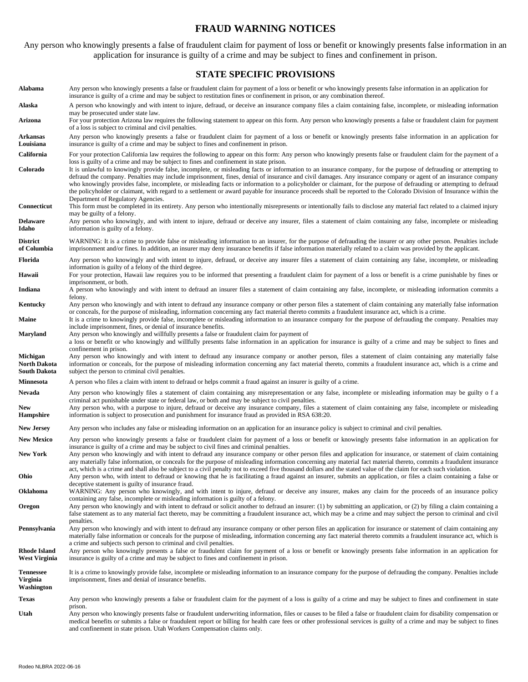# **FRAUD WARNING NOTICES**

Any person who knowingly presents a false of fraudulent claim for payment of loss or benefit or knowingly presents false information in an application for insurance is guilty of a crime and may be subject to fines and confinement in prison.

#### **STATE SPECIFIC PROVISIONS**

**Alabama** Any person who knowingly presents a false or fraudulent claim for payment of a loss or benefit or who knowingly presents false information in an application for insurance is guilty of a crime and may be subject to restitution fines or confinement in prison, or any combination thereof. Alaska A person who knowingly and with intent to injure, defraud, or deceive an insurance company files a claim containing false, incomplete, or misleading information may be prosecuted under state law. **Arizona** For your protection Arizona law requires the following statement to appear on this form. Any person who knowingly presents a false or fraudulent claim for payment of a loss is subject to criminal and civil penalties. **Arkansas Louisiana** Any person who knowingly presents a false or fraudulent claim for payment of a loss or benefit or knowingly presents false information in an application for insurance is guilty of a crime and may be subject to fines and confinement in prison. California For your protection California law requires the following to appear on this form: Any person who knowingly presents false or fraudulent claim for the payment of a loss is guilty of a crime and may be subject to fines and confinement in state prison. **Colorado** It is unlawful to knowingly provide false, incomplete, or misleading facts or information to an insurance company, for the purpose of defrauding or attempting to defraud the company. Penalties may include imprisonment, fines, denial of insurance and civil damages. Any insurance company or agent of an insurance company who knowingly provides false, incomplete, or misleading facts or information to a policyholder or claimant, for the purpose of defrauding or attempting to defraud the policyholder or claimant, with regard to a settlement or award payable for insurance proceeds shall be reported to the Colorado Division of Insurance within the Department of Regulatory Agencies. **Connecticut** This form must be completed in its entirety. Any person who intentionally misrepresents or intentionally fails to disclose any material fact related to a claimed injury may be guilty of a felony. **Delaware Idaho** Any person who knowingly, and with intent to injure, defraud or deceive any insurer, files a statement of claim containing any false, incomplete or misleading information is guilty of a felony. **District of Columbia** WARNING: It is a crime to provide false or misleading information to an insurer, for the purpose of defrauding the insurer or any other person. Penalties include imprisonment and/or fines. In addition, an insurer may deny insurance benefits if false information materially related to a claim was provided by the applicant. Florida Any person who knowingly and with intent to injure, defraud, or deceive any insurer files a statement of claim containing any false, incomplete, or misleading information is guilty of a felony of the third degree. Hawaii For your protection, Hawaii law requires you to be informed that presenting a fraudulent claim for payment of a loss or benefit is a crime punishable by fines or imprisonment, or both. Indiana A person who knowingly and with intent to defraud an insurer files a statement of claim containing any false, incomplete, or misleading information commits a felony. **Kentucky** Any person who knowingly and with intent to defraud any insurance company or other person files a statement of claim containing any materially false information or conceals, for the purpose of misleading, information concerning any fact material thereto commits a fraudulent insurance act, which is a crime. Maine It is a crime to knowingly provide false, incomplete or misleading information to an insurance company for the purpose of defrauding the company. Penalties may include imprisonment, fines, or denial of insurance benefits. **Maryland** Any person who knowingly and willfully presents a false or fraudulent claim for payment of a loss or benefit or who knowingly and willfully presents false information in an application for insurance is guilty of a crime and may be subject to fines and confinement in prison. **Michigan North Dakota South Dakota**  Any person who knowingly and with intent to defraud any insurance company or another person, files a statement of claim containing any materially false information or conceals, for the purpose of misleading information concerning any fact material thereto, commits a fraudulent insurance act, which is a crime and subject the person to criminal civil penalties. **Minnesota** A person who files a claim with intent to defraud or helps commit a fraud against an insurer is guilty of a crime. Nevada Any person who knowingly files a statement of claim containing any misrepresentation or any false, incomplete or misleading information may be guilty o f a criminal act punishable under state or federal law, or both and may be subject to civil penalties. **New Hampshire** Any person who, with a purpose to injure, defraud or deceive any insurance company, files a statement of claim containing any false, incomplete or misleading information is subject to prosecution and punishment for insurance fraud as provided in RSA 638:20. **New Jersey** Any person who includes any false or misleading information on an application for an insurance policy is subject to criminal and civil penalties. New Mexico Any person who knowingly presents a false or fraudulent claim for payment of a loss or benefit or knowingly presents false information in an application for insurance is guilty of a crime and may be subject to civil fines and criminal penalties. New York Any person who knowingly and with intent to defraud any insurance company or other person files and application for insurance, or statement of claim containing any materially false information, or conceals for the purpose of misleading information concerning any material fact material thereto, commits a fraudulent insurance act, which is a crime and shall also be subject to a civil penalty not to exceed five thousand dollars and the stated value of the claim for each such violation. **Ohio** Any person who, with intent to defraud or knowing that he is facilitating a fraud against an insurer, submits an application, or files a claim containing a false or deceptive statement is guilty of insurance fraud. **Oklahoma** WARNING: Any person who knowingly, and with intent to injure, defraud or deceive any insurer, makes any claim for the proceeds of an insurance policy containing any false, incomplete or misleading information is guilty of a felony. **Oregon** Any person who knowingly and with intent to defraud or solicit another to defraud an insurer: (1) by submitting an application, or (2) by filing a claim containing a false statement as to any material fact thereto, may be committing a fraudulent insurance act, which may be a crime and may subject the person to criminal and civil penalties. Pennsylvania Any person who knowingly and with intent to defraud any insurance company or other person files an application for insurance or statement of claim containing any materially false information or conceals for the purpose of misleading, information concerning any fact material thereto commits a fraudulent insurance act, which is a crime and subjects such person to criminal and civil penalties. **Rhode Island West Virginia** Any person who knowingly presents a false or fraudulent claim for payment of a loss or benefit or knowingly presents false information in an application for insurance is guilty of a crime and may be subject to fines and confinement in prison. **Tennessee Virginia Washington** It is a crime to knowingly provide false, incomplete or misleading information to an insurance company for the purpose of defrauding the company. Penalties include imprisonment, fines and denial of insurance benefits. **Texas** Any person who knowingly presents a false or fraudulent claim for the payment of a loss is guilty of a crime and may be subject to fines and confinement in state prison. **Utah** Any person who knowingly presents false or fraudulent underwriting information, files or causes to be filed a false or fraudulent claim for disability compensation or medical benefits or submits a false or fraudulent report or billing for health care fees or other professional services is guilty of a crime and may be subject to fines and confinement in state prison. Utah Workers Compensation claims only.